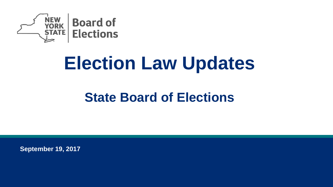

# **Election Law Updates**

## **State Board of Elections**

**September 19, 2017**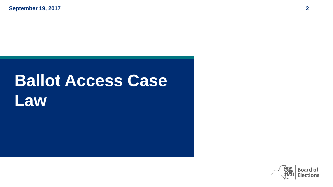# **Ballot Access Case Law**

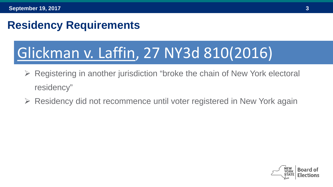#### **Residency Requirements**

## Glickman v. Laffin, 27 NY3d 810(2016)

- Registering in another jurisdiction "broke the chain of New York electoral residency"
- Residency did not recommence until voter registered in New York again

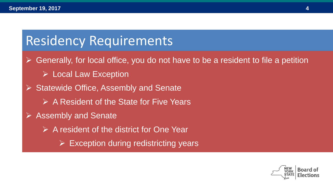## Residency Requirements

 $\triangleright$  Generally, for local office, you do not have to be a resident to file a petition

- **Exception**
- $\triangleright$  Statewide Office, Assembly and Senate
	- $\triangleright$  A Resident of the State for Five Years
- ▶ Assembly and Senate
	- A resident of the district for One Year
		- $\triangleright$  Exception during redistricting years

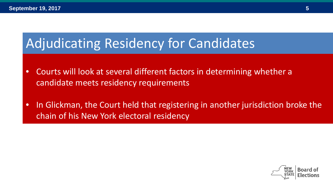## Adjudicating Residency for Candidates

- Courts will look at several different factors in determining whether a candidate meets residency requirements
- In Glickman, the Court held that registering in another jurisdiction broke the chain of his New York electoral residency

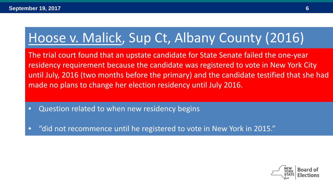## Hoose v. Malick, Sup Ct, Albany County (2016)

The trial court found that an upstate candidate for State Senate failed the one-year residency requirement because the candidate was registered to vote in New York City until July, 2016 (two months before the primary) and the candidate testified that she had made no plans to change her election residency until July 2016.

- Question related to when new residency begins
- "did not recommence until he registered to vote in New York in 2015."

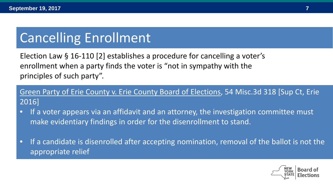## Cancelling Enrollment

Election Law § 16-110 [2] establishes a procedure for cancelling a voter's enrollment when a party finds the voter is "not in sympathy with the principles of such party".

Green Party of Erie County v. Erie County Board of Elections, 54 Misc.3d 318 [Sup Ct, Erie 2016]

- If a voter appears via an affidavit and an attorney, the investigation committee must make evidentiary findings in order for the disenrollment to stand.
- If a candidate is disenrolled after accepting nomination, removal of the ballot is not the appropriate relief

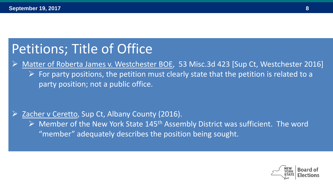## Petitions; Title of Office

 Matter of Roberta James v. Westchester BOE, 53 Misc.3d 423 [Sup Ct, Westchester 2016]  $\triangleright$  For party positions, the petition must clearly state that the petition is related to a party position; not a public office.

#### Zacher v Ceretto, Sup Ct, Albany County (2016).

 $\triangleright$  Member of the New York State 145<sup>th</sup> Assembly District was sufficient. The word "member" adequately describes the position being sought.

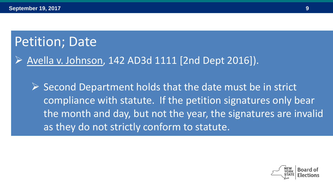## Petition; Date

#### Avella v. Johnson, 142 AD3d 1111 [2nd Dept 2016]).

 $\triangleright$  Second Department holds that the date must be in strict compliance with statute. If the petition signatures only bear the month and day, but not the year, the signatures are invalid as they do not strictly conform to statute.

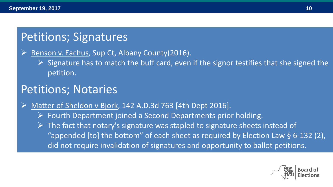### Petitions; Signatures

Benson v. Eachus, Sup Ct, Albany County(2016).

 $\triangleright$  Signature has to match the buff card, even if the signor testifies that she signed the petition.

#### Petitions; Notaries

Matter of Sheldon v Bjork, 142 A.D.3d 763 [4th Dept 2016].

- $\triangleright$  Fourth Department joined a Second Departments prior holding.
- $\triangleright$  The fact that notary's signature was stapled to signature sheets instead of "appended [to] the bottom" of each sheet as required by Election Law  $\S$  6-132 (2), did not require invalidation of signatures and opportunity to ballot petitions.

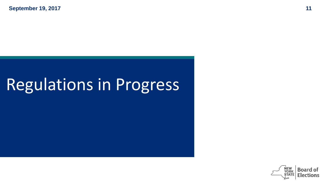# Regulations in Progress

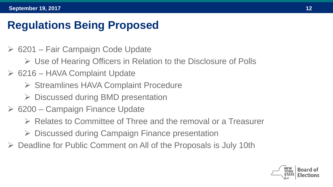#### **Regulations Being Proposed**

- 6201 Fair Campaign Code Update
	- Use of Hearing Officers in Relation to the Disclosure of Polls
- $\geq 6216$  HAVA Complaint Update
	- $\triangleright$  Streamlines HAVA Complaint Procedure
	- $\triangleright$  Discussed during BMD presentation
- $\triangleright$  6200 Campaign Finance Update
	- $\triangleright$  Relates to Committee of Three and the removal or a Treasurer
	- $\triangleright$  Discussed during Campaign Finance presentation
- Deadline for Public Comment on All of the Proposals is July 10th

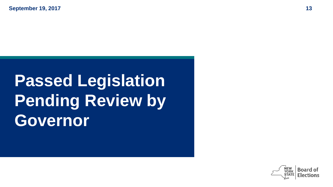# **Passed Legislation Pending Review by Governor**

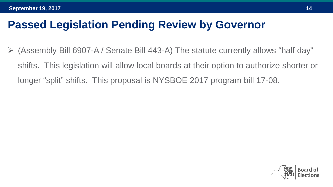(Assembly Bill 6907-A / Senate Bill 443-A) The statute currently allows "half day" shifts. This legislation will allow local boards at their option to authorize shorter or longer "split" shifts. This proposal is NYSBOE 2017 program bill 17-08.

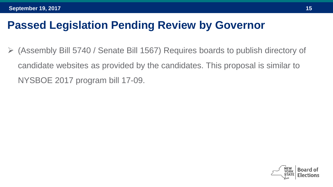(Assembly Bill 5740 / Senate Bill 1567) Requires boards to publish directory of candidate websites as provided by the candidates. This proposal is similar to NYSBOE 2017 program bill 17-09.

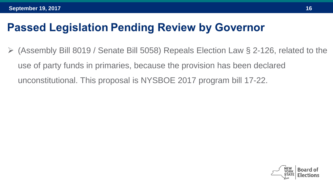(Assembly Bill 8019 / Senate Bill 5058) Repeals Election Law § 2-126, related to the use of party funds in primaries, because the provision has been declared unconstitutional. This proposal is NYSBOE 2017 program bill 17-22.

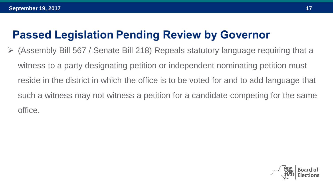(Assembly Bill 567 / Senate Bill 218) Repeals statutory language requiring that a witness to a party designating petition or independent nominating petition must reside in the district in which the office is to be voted for and to add language that such a witness may not witness a petition for a candidate competing for the same office.